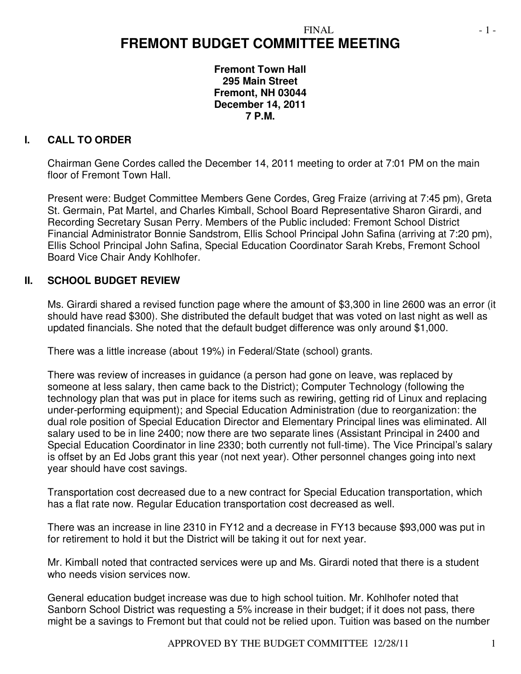# **FREMONT BUDGET COMMITTEE MEETING**

**Fremont Town Hall 295 Main Street Fremont, NH 03044 December 14, 2011 7 P.M.** 

# **I. CALL TO ORDER**

Chairman Gene Cordes called the December 14, 2011 meeting to order at 7:01 PM on the main floor of Fremont Town Hall.

Present were: Budget Committee Members Gene Cordes, Greg Fraize (arriving at 7:45 pm), Greta St. Germain, Pat Martel, and Charles Kimball, School Board Representative Sharon Girardi, and Recording Secretary Susan Perry. Members of the Public included: Fremont School District Financial Administrator Bonnie Sandstrom, Ellis School Principal John Safina (arriving at 7:20 pm), Ellis School Principal John Safina, Special Education Coordinator Sarah Krebs, Fremont School Board Vice Chair Andy Kohlhofer.

## **II. SCHOOL BUDGET REVIEW**

Ms. Girardi shared a revised function page where the amount of \$3,300 in line 2600 was an error (it should have read \$300). She distributed the default budget that was voted on last night as well as updated financials. She noted that the default budget difference was only around \$1,000.

There was a little increase (about 19%) in Federal/State (school) grants.

There was review of increases in guidance (a person had gone on leave, was replaced by someone at less salary, then came back to the District); Computer Technology (following the technology plan that was put in place for items such as rewiring, getting rid of Linux and replacing under-performing equipment); and Special Education Administration (due to reorganization: the dual role position of Special Education Director and Elementary Principal lines was eliminated. All salary used to be in line 2400; now there are two separate lines (Assistant Principal in 2400 and Special Education Coordinator in line 2330; both currently not full-time). The Vice Principal's salary is offset by an Ed Jobs grant this year (not next year). Other personnel changes going into next year should have cost savings.

Transportation cost decreased due to a new contract for Special Education transportation, which has a flat rate now. Regular Education transportation cost decreased as well.

There was an increase in line 2310 in FY12 and a decrease in FY13 because \$93,000 was put in for retirement to hold it but the District will be taking it out for next year.

Mr. Kimball noted that contracted services were up and Ms. Girardi noted that there is a student who needs vision services now.

General education budget increase was due to high school tuition. Mr. Kohlhofer noted that Sanborn School District was requesting a 5% increase in their budget; if it does not pass, there might be a savings to Fremont but that could not be relied upon. Tuition was based on the number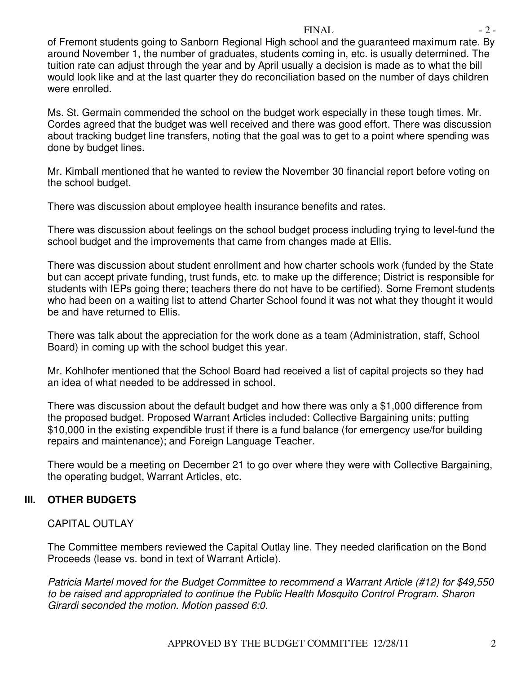#### $FINAL$   $-2$  -

of Fremont students going to Sanborn Regional High school and the guaranteed maximum rate. By around November 1, the number of graduates, students coming in, etc. is usually determined. The tuition rate can adjust through the year and by April usually a decision is made as to what the bill would look like and at the last quarter they do reconciliation based on the number of days children were enrolled.

Ms. St. Germain commended the school on the budget work especially in these tough times. Mr. Cordes agreed that the budget was well received and there was good effort. There was discussion about tracking budget line transfers, noting that the goal was to get to a point where spending was done by budget lines.

Mr. Kimball mentioned that he wanted to review the November 30 financial report before voting on the school budget.

There was discussion about employee health insurance benefits and rates.

There was discussion about feelings on the school budget process including trying to level-fund the school budget and the improvements that came from changes made at Ellis.

There was discussion about student enrollment and how charter schools work (funded by the State but can accept private funding, trust funds, etc. to make up the difference; District is responsible for students with IEPs going there; teachers there do not have to be certified). Some Fremont students who had been on a waiting list to attend Charter School found it was not what they thought it would be and have returned to Ellis.

There was talk about the appreciation for the work done as a team (Administration, staff, School Board) in coming up with the school budget this year.

Mr. Kohlhofer mentioned that the School Board had received a list of capital projects so they had an idea of what needed to be addressed in school.

There was discussion about the default budget and how there was only a \$1,000 difference from the proposed budget. Proposed Warrant Articles included: Collective Bargaining units; putting \$10,000 in the existing expendible trust if there is a fund balance (for emergency use/for building repairs and maintenance); and Foreign Language Teacher.

There would be a meeting on December 21 to go over where they were with Collective Bargaining, the operating budget, Warrant Articles, etc.

# **III. OTHER BUDGETS**

## CAPITAL OUTLAY

The Committee members reviewed the Capital Outlay line. They needed clarification on the Bond Proceeds (lease vs. bond in text of Warrant Article).

*Patricia Martel moved for the Budget Committee to recommend a Warrant Article (#12) for \$49,550 to be raised and appropriated to continue the Public Health Mosquito Control Program. Sharon Girardi seconded the motion. Motion passed 6:0.*